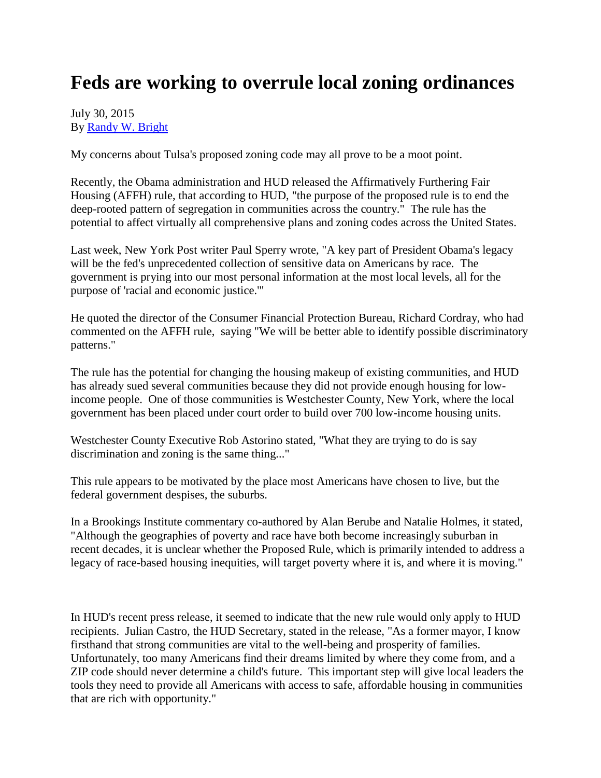## **Feds are working to overrule local zoning ordinances**

## July 30, 2015 By [Randy W. Bright](http://www.tulsabeacon.com/author/slug-o6yd1v)

My concerns about Tulsa's proposed zoning code may all prove to be a moot point.

Recently, the Obama administration and HUD released the Affirmatively Furthering Fair Housing (AFFH) rule, that according to HUD, "the purpose of the proposed rule is to end the deep-rooted pattern of segregation in communities across the country." The rule has the potential to affect virtually all comprehensive plans and zoning codes across the United States.

Last week, New York Post writer Paul Sperry wrote, "A key part of President Obama's legacy will be the fed's unprecedented collection of sensitive data on Americans by race. The government is prying into our most personal information at the most local levels, all for the purpose of 'racial and economic justice.'"

He quoted the director of the Consumer Financial Protection Bureau, Richard Cordray, who had commented on the AFFH rule, saying "We will be better able to identify possible discriminatory patterns."

The rule has the potential for changing the housing makeup of existing communities, and HUD has already sued several communities because they did not provide enough housing for lowincome people. One of those communities is Westchester County, New York, where the local government has been placed under court order to build over 700 low-income housing units.

Westchester County Executive Rob Astorino stated, "What they are trying to do is say discrimination and zoning is the same thing..."

This rule appears to be motivated by the place most Americans have chosen to live, but the federal government despises, the suburbs.

In a Brookings Institute commentary co-authored by Alan Berube and Natalie Holmes, it stated, "Although the geographies of poverty and race have both become increasingly suburban in recent decades, it is unclear whether the Proposed Rule, which is primarily intended to address a legacy of race-based housing inequities, will target poverty where it is, and where it is moving."

In HUD's recent press release, it seemed to indicate that the new rule would only apply to HUD recipients. Julian Castro, the HUD Secretary, stated in the release, "As a former mayor, I know firsthand that strong communities are vital to the well-being and prosperity of families. Unfortunately, too many Americans find their dreams limited by where they come from, and a ZIP code should never determine a child's future. This important step will give local leaders the tools they need to provide all Americans with access to safe, affordable housing in communities that are rich with opportunity."